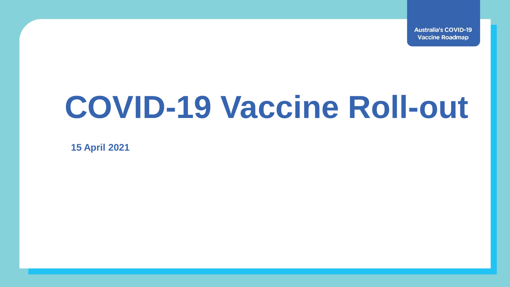**Australia's COVID-19 Vaccine Roadmap** 

# **COVID-19 Vaccine Roll-out**

**15 April 2021**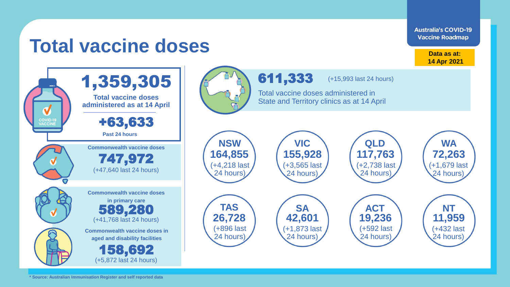#### **Vaccine Roadmap Total vaccine doses Data as at: 14 Apr 2021** 611,333 1,359,305 (+15,993 last 24 hours) Total vaccine doses administered in **Total vaccine doses**  State and Territory clinics as at 14 April **administered as at 14 April**  $\blacktriangledown$ COVID-19<br>VACCINE +63,633 **Past 24 hours NSW Commonwealth vaccine doses VIC VIC VIC QLD VIC WA 164,855 155,928 117,763 72,263** 747,972 V (+4,218 last (+3,565 last (+2,738 last (+1,679 last (+47,640 last 24 hours) 24 hours) 24 hours) 24 hours) 24 hours) **Commonwealth vaccine doses in primary care TAS SA ACT NT** 589,280 **26,728 42,601 19,236 11,959** (+41,768 last 24 hours) (+896 last (+1,873 last (+592 last (+432 last **Commonwealth vaccine doses in**  24 hours) 24 hours) 24 hours) 24 hours)**aged and disability facilities** 158,692 (+5,872 last 24 hours)

**Australia's COVID-19** 

**\* Source: Australian Immunisation Register and self reported data**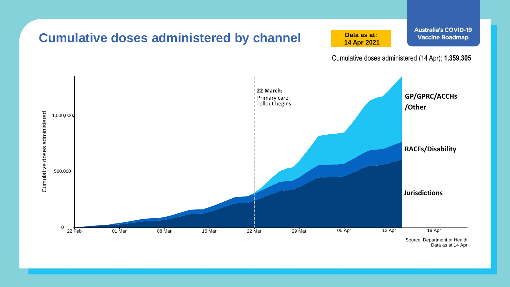

Data as at 14 Apr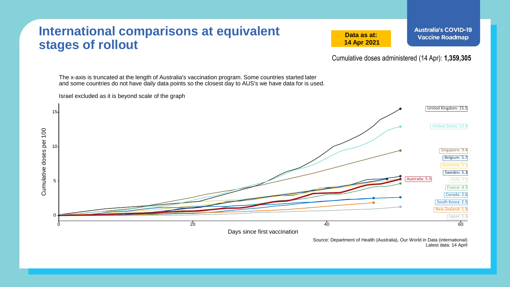## **International comparisons at equivalent stages of rollout**

**Data as at: 14 Apr 2021**

Cumulative doses administered (14 Apr): **1,359,305**

The x-axis is truncated at the length of Australia's vaccination program. Some countries started later and some countries do not have daily data points so the closest day to AUS's we have data for is used.



Source: Department of Health (Australia), Our World in Data (international) Latest data: 14 April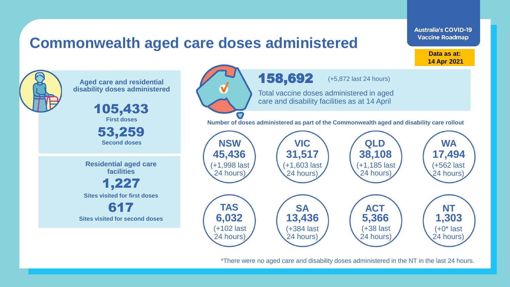## **Commonwealth aged care doses administered**

**Data as at: 14 Apr 2021**



\*There were no aged care and disability doses administered in the NT in the last 24 hours.